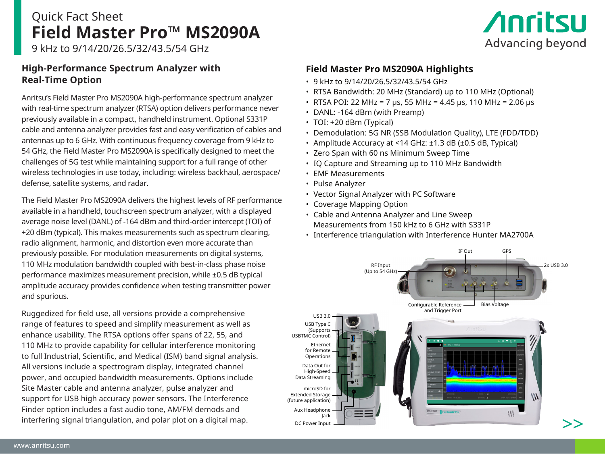# Quick Fact Sheet **Field Master Pro™ MS2090A**

# **Anritsu** Advancing beyond

9 kHz to 9/14/20/26.5/32/43.5/54 GHz

## **High-Performance Spectrum Analyzer with Real-Time Option**

Anritsu's Field Master Pro MS2090A high-performance spectrum analyzer with real-time spectrum analyzer (RTSA) option delivers performance never previously available in a compact, handheld instrument. Optional S331P cable and antenna analyzer provides fast and easy verification of cables and antennas up to 6 GHz. With continuous frequency coverage from 9 kHz to 54 GHz, the Field Master Pro MS2090A is specifically designed to meet the challenges of 5G test while maintaining support for a full range of other wireless technologies in use today, including: wireless backhaul, aerospace/ defense, satellite systems, and radar.

The Field Master Pro MS2090A delivers the highest levels of RF performance available in a handheld, touchscreen spectrum analyzer, with a displayed average noise level (DANL) of -164 dBm and third-order intercept (TOI) of +20 dBm (typical). This makes measurements such as spectrum clearing, radio alignment, harmonic, and distortion even more accurate than previously possible. For modulation measurements on digital systems, 110 MHz modulation bandwidth coupled with best-in-class phase noise performance maximizes measurement precision, while ±0.5 dB typical amplitude accuracy provides confidence when testing transmitter power and spurious.

Ruggedized for field use, all versions provide a comprehensive range of features to speed and simplify measurement as well as enhance usability. The RTSA options offer spans of 22, 55, and 110 MHz to provide capability for cellular interference monitoring to full Industrial, Scientific, and Medical (ISM) band signal analysis. All versions include a spectrogram display, integrated channel power, and occupied bandwidth measurements. Options include Site Master cable and antenna analyzer, pulse analyzer and support for USB high accuracy power sensors. The Interference Finder option includes a fast audio tone, AM/FM demods and interfering signal triangulation, and polar plot on a digital map.

## **Field Master Pro MS2090A Highlights**

- 9 kHz to 9/14/20/26.5/32/43.5/54 GHz
- RTSA Bandwidth: 20 MHz (Standard) up to 110 MHz (Optional)
- RTSA POI: 22 MHz = 7 μs, 55 MHz = 4.45 μs, 110 MHz = 2.06 μs
- DANL: -164 dBm (with Preamp)
- TOI: +20 dBm (Typical)
- Demodulation: 5G NR (SSB Modulation Quality), LTE (FDD/TDD)
- Amplitude Accuracy at <14 GHz: ±1.3 dB (±0.5 dB, Typical)
- Zero Span with 60 ns Minimum Sweep Time
- IQ Capture and Streaming up to 110 MHz Bandwidth
- EMF Measurements
- Pulse Analyzer
- Vector Signal Analyzer with PC Software
- Coverage Mapping Option
- Cable and Antenna Analyzer and Line Sweep Measurements from 150 kHz to 6 GHz with S331P
- Interference triangulation with Interference Hunter MA2700A